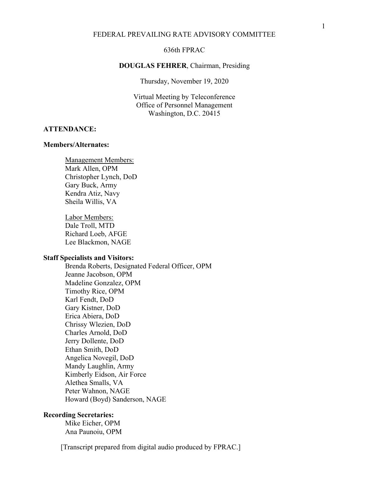### 636th FPRAC

#### **DOUGLAS FEHRER**, Chairman, Presiding

Thursday, November 19, 2020

Virtual Meeting by Teleconference Office of Personnel Management Washington, D.C. 20415

### **ATTENDANCE:**

#### **Members/Alternates:**

Management Members: Mark Allen, OPM Christopher Lynch, DoD Gary Buck, Army Kendra Atiz, Navy Sheila Willis, VA

Labor Members: Dale Troll, MTD Richard Loeb, AFGE Lee Blackmon, NAGE

#### **Staff Specialists and Visitors:**

Brenda Roberts, Designated Federal Officer, OPM Jeanne Jacobson, OPM Madeline Gonzalez, OPM Timothy Rice, OPM Karl Fendt, DoD Gary Kistner, DoD Erica Abiera, DoD Chrissy Wlezien, DoD Charles Arnold, DoD Jerry Dollente, DoD Ethan Smith, DoD Angelica Novegil, DoD Mandy Laughlin, Army Kimberly Eidson, Air Force Alethea Smalls, VA Peter Wahnon, NAGE Howard (Boyd) Sanderson, NAGE

## **Recording Secretaries:**

Mike Eicher, OPM Ana Paunoiu, OPM

[Transcript prepared from digital audio produced by FPRAC.]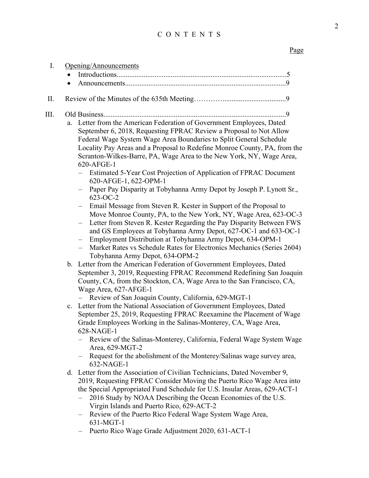## CONTENTS

# Page

|    | Opening/Announcements                                                                                                                                                                                                                                                                                                                                                                                                                                                      |
|----|----------------------------------------------------------------------------------------------------------------------------------------------------------------------------------------------------------------------------------------------------------------------------------------------------------------------------------------------------------------------------------------------------------------------------------------------------------------------------|
|    |                                                                                                                                                                                                                                                                                                                                                                                                                                                                            |
|    |                                                                                                                                                                                                                                                                                                                                                                                                                                                                            |
|    |                                                                                                                                                                                                                                                                                                                                                                                                                                                                            |
| a. | Letter from the American Federation of Government Employees, Dated<br>September 6, 2018, Requesting FPRAC Review a Proposal to Not Allow<br>Federal Wage System Wage Area Boundaries to Split General Schedule<br>Locality Pay Areas and a Proposal to Redefine Monroe County, PA, from the<br>Scranton-Wilkes-Barre, PA, Wage Area to the New York, NY, Wage Area,<br>620-AFGE-1                                                                                          |
|    | Estimated 5-Year Cost Projection of Application of FPRAC Document<br>620-AFGE-1, 622-OPM-1<br>Paper Pay Disparity at Tobyhanna Army Depot by Joseph P. Lynott Sr.,                                                                                                                                                                                                                                                                                                         |
|    | 623-OC-2<br>Email Message from Steven R. Kester in Support of the Proposal to<br>Move Monroe County, PA, to the New York, NY, Wage Area, 623-OC-3<br>Letter from Steven R. Kester Regarding the Pay Disparity Between FWS<br>and GS Employees at Tobyhanna Army Depot, 627-OC-1 and 633-OC-1<br>Employment Distribution at Tobyhanna Army Depot, 634-OPM-1<br>Market Rates vs Schedule Rates for Electronics Mechanics (Series 2604)<br>Tobyhanna Army Depot, 634-OPM-2    |
|    | b. Letter from the American Federation of Government Employees, Dated<br>September 3, 2019, Requesting FPRAC Recommend Redefining San Joaquin<br>County, CA, from the Stockton, CA, Wage Area to the San Francisco, CA,<br>Wage Area, 627-AFGE-1<br>Review of San Joaquin County, California, 629-MGT-1                                                                                                                                                                    |
|    | c. Letter from the National Association of Government Employees, Dated<br>September 25, 2019, Requesting FPRAC Reexamine the Placement of Wage<br>Grade Employees Working in the Salinas-Monterey, CA, Wage Area,<br>$628-NAGE-1$<br>Review of the Salinas-Monterey, California, Federal Wage System Wage<br>Area, 629-MGT-2<br>- Request for the abolishment of the Monterey/Salinas wage survey area,<br>632-NAGE-1                                                      |
|    | d. Letter from the Association of Civilian Technicians, Dated November 9,<br>2019, Requesting FPRAC Consider Moving the Puerto Rico Wage Area into<br>the Special Appropriated Fund Schedule for U.S. Insular Areas, 629-ACT-1<br>2016 Study by NOAA Describing the Ocean Economies of the U.S.<br>Virgin Islands and Puerto Rico, 629-ACT-2<br>Review of the Puerto Rico Federal Wage System Wage Area,<br>631-MGT-1<br>Puerto Rico Wage Grade Adjustment 2020, 631-ACT-1 |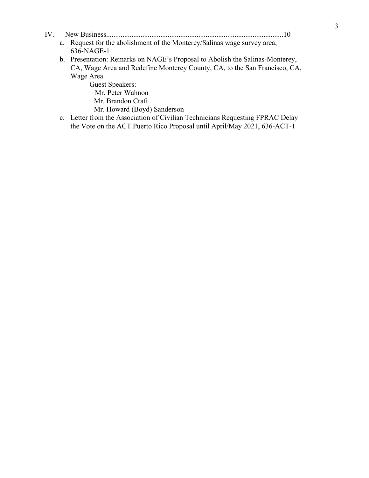- IV. [New Business..................................................................................................10](#page-9-0)
	- a. Request for the abolishment of the Monterey/Salinas wage survey area, 636-NAGE-1
	- b. Presentation: Remarks on NAGE's Proposal to Abolish the Salinas-Monterey, CA, Wage Area and Redefine Monterey County, CA, to the San Francisco, CA, Wage Area
		- Guest Speakers:
			- Mr. Peter Wahnon
			- Mr. Brandon Craft
			- Mr. Howard (Boyd) Sanderson
	- c. Letter from the Association of Civilian Technicians Requesting FPRAC Delay the Vote on the ACT Puerto Rico Proposal until April/May 2021, 636-ACT-1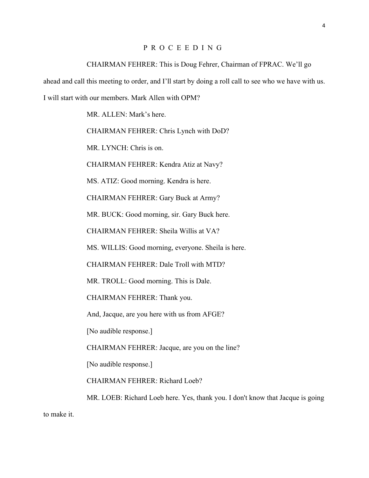## <span id="page-3-0"></span>PROCEEDING

#### CHAIRMAN FEHRER: This is Doug Fehrer, Chairman of FPRAC. We'll go

ahead and call this meeting to order, and I'll start by doing a roll call to see who we have with us.

I will start with our members. Mark Allen with OPM?

MR. ALLEN: Mark's here.

CHAIRMAN FEHRER: Chris Lynch with DoD?

MR. LYNCH: Chris is on.

CHAIRMAN FEHRER: Kendra Atiz at Navy?

MS. ATIZ: Good morning. Kendra is here.

CHAIRMAN FEHRER: Gary Buck at Army?

MR. BUCK: Good morning, sir. Gary Buck here.

CHAIRMAN FEHRER: Sheila Willis at VA?

MS. WILLIS: Good morning, everyone. Sheila is here.

CHAIRMAN FEHRER: Dale Troll with MTD?

MR. TROLL: Good morning. This is Dale.

CHAIRMAN FEHRER: Thank you.

And, Jacque, are you here with us from AFGE?

[No audible response.]

CHAIRMAN FEHRER: Jacque, are you on the line?

[No audible response.]

CHAIRMAN FEHRER: Richard Loeb?

MR. LOEB: Richard Loeb here. Yes, thank you. I don't know that Jacque is going

to make it.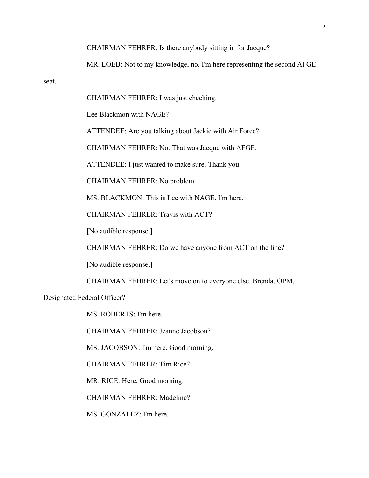CHAIRMAN FEHRER: Is there anybody sitting in for Jacque?

MR. LOEB: Not to my knowledge, no. I'm here representing the second AFGE

seat.

CHAIRMAN FEHRER: I was just checking.

Lee Blackmon with NAGE?

ATTENDEE: Are you talking about Jackie with Air Force?

CHAIRMAN FEHRER: No. That was Jacque with AFGE.

ATTENDEE: I just wanted to make sure. Thank you.

CHAIRMAN FEHRER: No problem.

MS. BLACKMON: This is Lee with NAGE. I'm here.

CHAIRMAN FEHRER: Travis with ACT?

[No audible response.]

CHAIRMAN FEHRER: Do we have anyone from ACT on the line?

[No audible response.]

CHAIRMAN FEHRER: Let's move on to everyone else. Brenda, OPM,

Designated Federal Officer?

MS. ROBERTS: I'm here.

CHAIRMAN FEHRER: Jeanne Jacobson?

MS. JACOBSON: I'm here. Good morning.

CHAIRMAN FEHRER: Tim Rice?

MR. RICE: Here. Good morning.

CHAIRMAN FEHRER: Madeline?

MS. GONZALEZ: I'm here.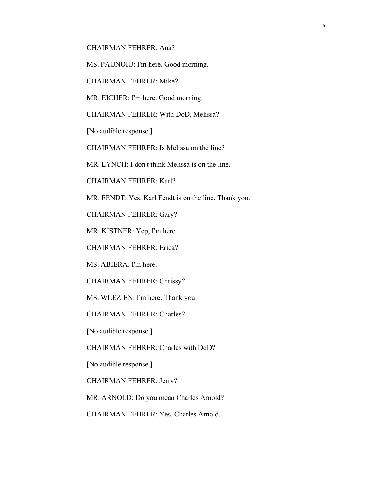CHAIRMAN FEHRER: Ana?

MS. PAUNOIU: I'm here. Good morning.

CHAIRMAN FEHRER: Mike?

MR. EICHER: I'm here. Good morning.

CHAIRMAN FEHRER: With DoD, Melissa?

[No audible response.]

CHAIRMAN FEHRER: Is Melissa on the line?

MR. LYNCH: I don't think Melissa is on the line.

CHAIRMAN FEHRER: Karl?

MR. FENDT: Yes. Karl Fendt is on the line. Thank you.

CHAIRMAN FEHRER: Gary?

MR. KISTNER: Yep, I'm here.

CHAIRMAN FEHRER: Erica?

MS. ABIERA: I'm here.

CHAIRMAN FEHRER: Chrissy?

MS. WLEZIEN: I'm here. Thank you.

CHAIRMAN FEHRER: Charles?

[No audible response.]

CHAIRMAN FEHRER: Charles with DoD?

[No audible response.]

CHAIRMAN FEHRER: Jerry?

MR. ARNOLD: Do you mean Charles Arnold?

CHAIRMAN FEHRER: Yes, Charles Arnold.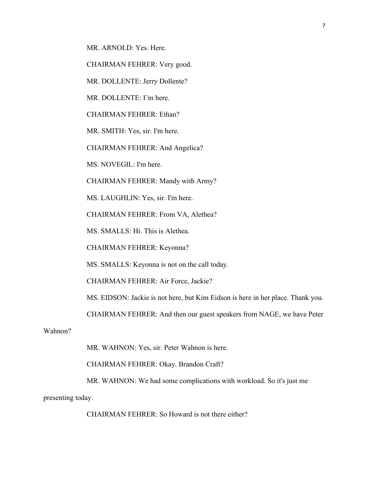MR. ARNOLD: Yes. Here.

CHAIRMAN FEHRER: Very good.

MR. DOLLENTE: Jerry Dollente?

MR. DOLLENTE: I'm here.

CHAIRMAN FEHRER: Ethan?

MR. SMITH: Yes, sir. I'm here.

CHAIRMAN FEHRER: And Angelica?

MS. NOVEGIL: I'm here.

CHAIRMAN FEHRER: Mandy with Army?

MS. LAUGHLIN: Yes, sir. I'm here.

CHAIRMAN FEHRER: From VA, Alethea?

MS. SMALLS: Hi. This is Alethea.

CHAIRMAN FEHRER: Keyonna?

MS. SMALLS: Keyonna is not on the call today.

CHAIRMAN FEHRER: Air Force, Jackie?

MS. EIDSON: Jackie is not here, but Kim Eidson is here in her place. Thank you.

CHAIRMAN FEHRER: And then our guest speakers from NAGE, we have Peter

Wahnon?

MR. WAHNON: Yes, sir. Peter Wahnon is here.

CHAIRMAN FEHRER: Okay. Brandon Craft?

MR. WAHNON: We had some complications with workload. So it's just me

presenting today.

CHAIRMAN FEHRER: So Howard is not there either?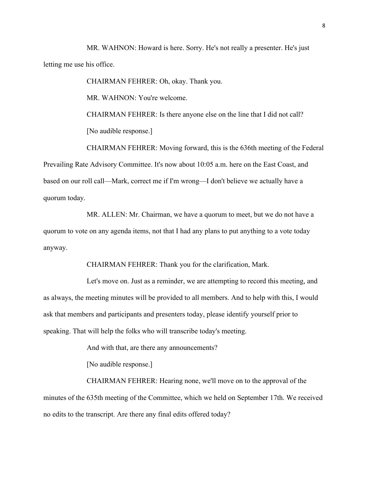MR. WAHNON: Howard is here. Sorry. He's not really a presenter. He's just letting me use his office.

CHAIRMAN FEHRER: Oh, okay. Thank you.

MR. WAHNON: You're welcome.

CHAIRMAN FEHRER: Is there anyone else on the line that I did not call? [No audible response.]

CHAIRMAN FEHRER: Moving forward, this is the 636th meeting of the Federal Prevailing Rate Advisory Committee. It's now about 10:05 a.m. here on the East Coast, and based on our roll call—Mark, correct me if I'm wrong—I don't believe we actually have a quorum today.

MR. ALLEN: Mr. Chairman, we have a quorum to meet, but we do not have a quorum to vote on any agenda items, not that I had any plans to put anything to a vote today anyway.

CHAIRMAN FEHRER: Thank you for the clarification, Mark.

Let's move on. Just as a reminder, we are attempting to record this meeting, and as always, the meeting minutes will be provided to all members. And to help with this, I would ask that members and participants and presenters today, please identify yourself prior to speaking. That will help the folks who will transcribe today's meeting.

<span id="page-7-0"></span>And with that, are there any announcements?

<span id="page-7-1"></span>[No audible response.]

CHAIRMAN FEHRER: Hearing none, we'll move on to the approval of the minutes of the 635th meeting of the Committee, which we held on September 17th. We received no edits to the transcript. Are there any final edits offered today?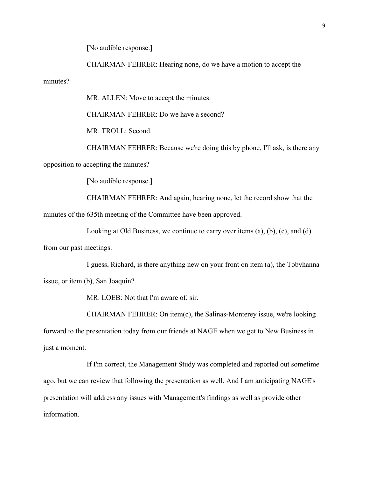[No audible response.]

CHAIRMAN FEHRER: Hearing none, do we have a motion to accept the

minutes?

MR. ALLEN: Move to accept the minutes.

CHAIRMAN FEHRER: Do we have a second?

MR. TROLL: Second.

CHAIRMAN FEHRER: Because we're doing this by phone, I'll ask, is there any opposition to accepting the minutes?

[No audible response.]

CHAIRMAN FEHRER: And again, hearing none, let the record show that the minutes of the 635th meeting of the Committee have been approved.

<span id="page-8-0"></span>Looking at Old Business, we continue to carry over items (a), (b), (c), and (d)

from our past meetings.

I guess, Richard, is there anything new on your front on item (a), the Tobyhanna issue, or item (b), San Joaquin?

MR. LOEB: Not that I'm aware of, sir.

CHAIRMAN FEHRER: On item(c), the Salinas-Monterey issue, we're looking forward to the presentation today from our friends at NAGE when we get to New Business in just a moment.

If I'm correct, the Management Study was completed and reported out sometime ago, but we can review that following the presentation as well. And I am anticipating NAGE's presentation will address any issues with Management's findings as well as provide other information.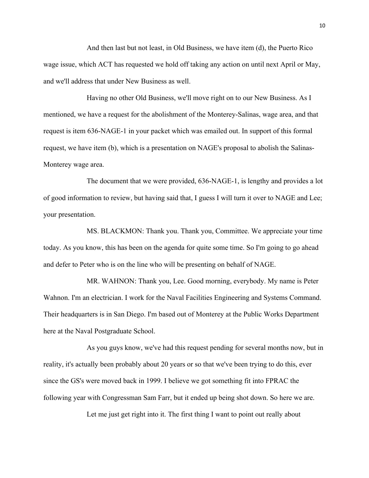And then last but not least, in Old Business, we have item (d), the Puerto Rico wage issue, which ACT has requested we hold off taking any action on until next April or May, and we'll address that under New Business as well.

<span id="page-9-0"></span>Having no other Old Business, we'll move right on to our New Business. As I mentioned, we have a request for the abolishment of the Monterey-Salinas, wage area, and that request is item 636-NAGE-1 in your packet which was emailed out. In support of this formal request, we have item (b), which is a presentation on NAGE's proposal to abolish the Salinas-Monterey wage area.

The document that we were provided, 636-NAGE-1, is lengthy and provides a lot of good information to review, but having said that, I guess I will turn it over to NAGE and Lee; your presentation.

MS. BLACKMON: Thank you. Thank you, Committee. We appreciate your time today. As you know, this has been on the agenda for quite some time. So I'm going to go ahead and defer to Peter who is on the line who will be presenting on behalf of NAGE.

MR. WAHNON: Thank you, Lee. Good morning, everybody. My name is Peter Wahnon. I'm an electrician. I work for the Naval Facilities Engineering and Systems Command. Their headquarters is in San Diego. I'm based out of Monterey at the Public Works Department here at the Naval Postgraduate School.

As you guys know, we've had this request pending for several months now, but in reality, it's actually been probably about 20 years or so that we've been trying to do this, ever since the GS's were moved back in 1999. I believe we got something fit into FPRAC the following year with Congressman Sam Farr, but it ended up being shot down. So here we are.

Let me just get right into it. The first thing I want to point out really about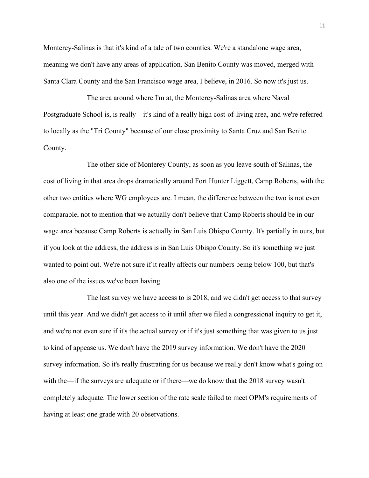Monterey-Salinas is that it's kind of a tale of two counties. We're a standalone wage area, meaning we don't have any areas of application. San Benito County was moved, merged with Santa Clara County and the San Francisco wage area, I believe, in 2016. So now it's just us.

The area around where I'm at, the Monterey-Salinas area where Naval Postgraduate School is, is really—it's kind of a really high cost-of-living area, and we're referred to locally as the "Tri County" because of our close proximity to Santa Cruz and San Benito County.

The other side of Monterey County, as soon as you leave south of Salinas, the cost of living in that area drops dramatically around Fort Hunter Liggett, Camp Roberts, with the other two entities where WG employees are. I mean, the difference between the two is not even comparable, not to mention that we actually don't believe that Camp Roberts should be in our wage area because Camp Roberts is actually in San Luis Obispo County. It's partially in ours, but if you look at the address, the address is in San Luis Obispo County. So it's something we just wanted to point out. We're not sure if it really affects our numbers being below 100, but that's also one of the issues we've been having.

The last survey we have access to is 2018, and we didn't get access to that survey until this year. And we didn't get access to it until after we filed a congressional inquiry to get it, and we're not even sure if it's the actual survey or if it's just something that was given to us just to kind of appease us. We don't have the 2019 survey information. We don't have the 2020 survey information. So it's really frustrating for us because we really don't know what's going on with the—if the surveys are adequate or if there—we do know that the 2018 survey wasn't completely adequate. The lower section of the rate scale failed to meet OPM's requirements of having at least one grade with 20 observations.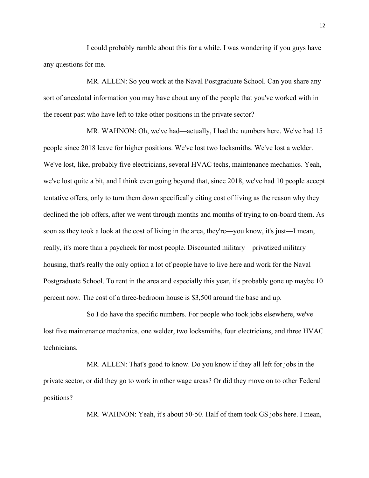I could probably ramble about this for a while. I was wondering if you guys have any questions for me.

MR. ALLEN: So you work at the Naval Postgraduate School. Can you share any sort of anecdotal information you may have about any of the people that you've worked with in the recent past who have left to take other positions in the private sector?

MR. WAHNON: Oh, we've had—actually, I had the numbers here. We've had 15 people since 2018 leave for higher positions. We've lost two locksmiths. We've lost a welder. We've lost, like, probably five electricians, several HVAC techs, maintenance mechanics. Yeah, we've lost quite a bit, and I think even going beyond that, since 2018, we've had 10 people accept tentative offers, only to turn them down specifically citing cost of living as the reason why they declined the job offers, after we went through months and months of trying to on-board them. As soon as they took a look at the cost of living in the area, they're—you know, it's just—I mean, really, it's more than a paycheck for most people. Discounted military—privatized military housing, that's really the only option a lot of people have to live here and work for the Naval Postgraduate School. To rent in the area and especially this year, it's probably gone up maybe 10 percent now. The cost of a three-bedroom house is \$3,500 around the base and up.

So I do have the specific numbers. For people who took jobs elsewhere, we've lost five maintenance mechanics, one welder, two locksmiths, four electricians, and three HVAC technicians.

MR. ALLEN: That's good to know. Do you know if they all left for jobs in the private sector, or did they go to work in other wage areas? Or did they move on to other Federal positions?

MR. WAHNON: Yeah, it's about 50-50. Half of them took GS jobs here. I mean,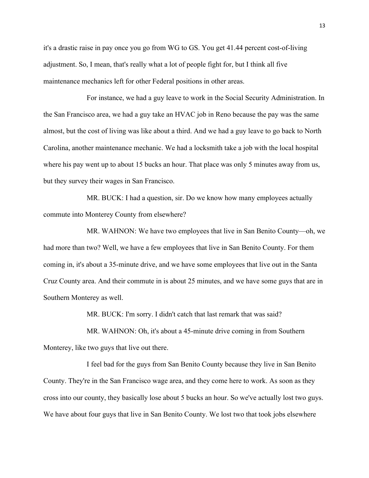it's a drastic raise in pay once you go from WG to GS. You get 41.44 percent cost-of-living adjustment. So, I mean, that's really what a lot of people fight for, but I think all five maintenance mechanics left for other Federal positions in other areas.

For instance, we had a guy leave to work in the Social Security Administration. In the San Francisco area, we had a guy take an HVAC job in Reno because the pay was the same almost, but the cost of living was like about a third. And we had a guy leave to go back to North Carolina, another maintenance mechanic. We had a locksmith take a job with the local hospital where his pay went up to about 15 bucks an hour. That place was only 5 minutes away from us, but they survey their wages in San Francisco.

MR. BUCK: I had a question, sir. Do we know how many employees actually commute into Monterey County from elsewhere?

MR. WAHNON: We have two employees that live in San Benito County—oh, we had more than two? Well, we have a few employees that live in San Benito County. For them coming in, it's about a 35-minute drive, and we have some employees that live out in the Santa Cruz County area. And their commute in is about 25 minutes, and we have some guys that are in Southern Monterey as well.

MR. BUCK: I'm sorry. I didn't catch that last remark that was said?

MR. WAHNON: Oh, it's about a 45-minute drive coming in from Southern Monterey, like two guys that live out there.

I feel bad for the guys from San Benito County because they live in San Benito County. They're in the San Francisco wage area, and they come here to work. As soon as they cross into our county, they basically lose about 5 bucks an hour. So we've actually lost two guys. We have about four guys that live in San Benito County. We lost two that took jobs elsewhere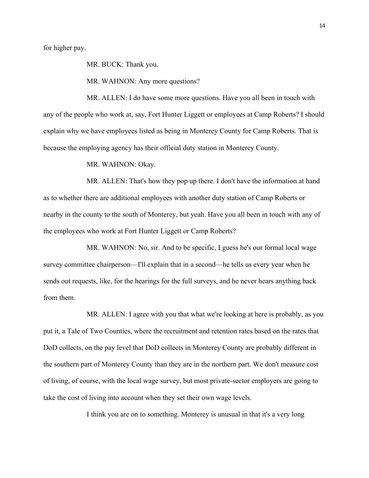for higher pay.

MR. BUCK: Thank you.

MR. WAHNON: Any more questions?

MR. ALLEN: I do have some more questions. Have you all been in touch with any of the people who work at, say, Fort Hunter Liggett or employees at Camp Roberts? I should explain why we have employees listed as being in Monterey County for Camp Roberts. That is because the employing agency has their official duty station in Monterey County.

MR. WAHNON: Okay.

MR. ALLEN: That's how they pop up there. I don't have the information at hand as to whether there are additional employees with another duty station of Camp Roberts or nearby in the county to the south of Monterey, but yeah. Have you all been in touch with any of the employees who work at Fort Hunter Liggett or Camp Roberts?

MR. WAHNON: No, sir. And to be specific, I guess he's our formal local wage survey committee chairperson—I'll explain that in a second—he tells us every year when he sends out requests, like, for the hearings for the full surveys, and he never hears anything back from them.

MR. ALLEN: I agree with you that what we're looking at here is probably, as you put it, a Tale of Two Counties, where the recruitment and retention rates based on the rates that DoD collects, on the pay level that DoD collects in Monterey County are probably different in the southern part of Monterey County than they are in the northern part. We don't measure cost of living, of course, with the local wage survey, but most private-sector employers are going to take the cost of living into account when they set their own wage levels.

I think you are on to something. Monterey is unusual in that it's a very long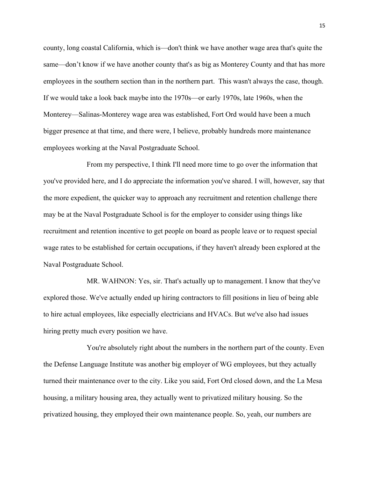county, long coastal California, which is—don't think we have another wage area that's quite the same—don't know if we have another county that's as big as Monterey County and that has more employees in the southern section than in the northern part. This wasn't always the case, though. If we would take a look back maybe into the 1970s—or early 1970s, late 1960s, when the Monterey—Salinas-Monterey wage area was established, Fort Ord would have been a much bigger presence at that time, and there were, I believe, probably hundreds more maintenance employees working at the Naval Postgraduate School.

From my perspective, I think I'll need more time to go over the information that you've provided here, and I do appreciate the information you've shared. I will, however, say that the more expedient, the quicker way to approach any recruitment and retention challenge there may be at the Naval Postgraduate School is for the employer to consider using things like recruitment and retention incentive to get people on board as people leave or to request special wage rates to be established for certain occupations, if they haven't already been explored at the Naval Postgraduate School.

MR. WAHNON: Yes, sir. That's actually up to management. I know that they've explored those. We've actually ended up hiring contractors to fill positions in lieu of being able to hire actual employees, like especially electricians and HVACs. But we've also had issues hiring pretty much every position we have.

You're absolutely right about the numbers in the northern part of the county. Even the Defense Language Institute was another big employer of WG employees, but they actually turned their maintenance over to the city. Like you said, Fort Ord closed down, and the La Mesa housing, a military housing area, they actually went to privatized military housing. So the privatized housing, they employed their own maintenance people. So, yeah, our numbers are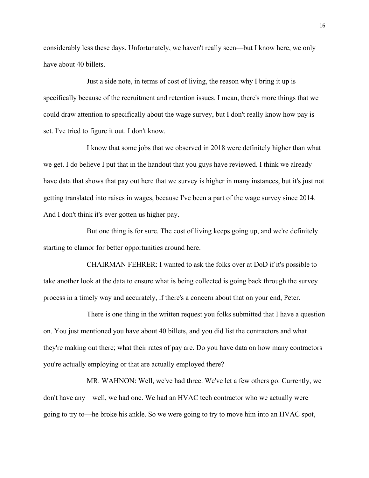considerably less these days. Unfortunately, we haven't really seen—but I know here, we only have about 40 billets.

Just a side note, in terms of cost of living, the reason why I bring it up is specifically because of the recruitment and retention issues. I mean, there's more things that we could draw attention to specifically about the wage survey, but I don't really know how pay is set. I've tried to figure it out. I don't know.

I know that some jobs that we observed in 2018 were definitely higher than what we get. I do believe I put that in the handout that you guys have reviewed. I think we already have data that shows that pay out here that we survey is higher in many instances, but it's just not getting translated into raises in wages, because I've been a part of the wage survey since 2014. And I don't think it's ever gotten us higher pay.

But one thing is for sure. The cost of living keeps going up, and we're definitely starting to clamor for better opportunities around here.

CHAIRMAN FEHRER: I wanted to ask the folks over at DoD if it's possible to take another look at the data to ensure what is being collected is going back through the survey process in a timely way and accurately, if there's a concern about that on your end, Peter.

There is one thing in the written request you folks submitted that I have a question on. You just mentioned you have about 40 billets, and you did list the contractors and what they're making out there; what their rates of pay are. Do you have data on how many contractors you're actually employing or that are actually employed there?

MR. WAHNON: Well, we've had three. We've let a few others go. Currently, we don't have any—well, we had one. We had an HVAC tech contractor who we actually were going to try to—he broke his ankle. So we were going to try to move him into an HVAC spot,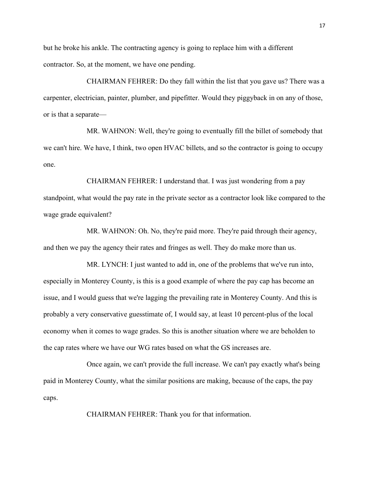but he broke his ankle. The contracting agency is going to replace him with a different contractor. So, at the moment, we have one pending.

CHAIRMAN FEHRER: Do they fall within the list that you gave us? There was a carpenter, electrician, painter, plumber, and pipefitter. Would they piggyback in on any of those, or is that a separate—

MR. WAHNON: Well, they're going to eventually fill the billet of somebody that we can't hire. We have, I think, two open HVAC billets, and so the contractor is going to occupy one.

CHAIRMAN FEHRER: I understand that. I was just wondering from a pay standpoint, what would the pay rate in the private sector as a contractor look like compared to the wage grade equivalent?

MR. WAHNON: Oh. No, they're paid more. They're paid through their agency, and then we pay the agency their rates and fringes as well. They do make more than us.

MR. LYNCH: I just wanted to add in, one of the problems that we've run into, especially in Monterey County, is this is a good example of where the pay cap has become an issue, and I would guess that we're lagging the prevailing rate in Monterey County. And this is probably a very conservative guesstimate of, I would say, at least 10 percent-plus of the local economy when it comes to wage grades. So this is another situation where we are beholden to the cap rates where we have our WG rates based on what the GS increases are.

Once again, we can't provide the full increase. We can't pay exactly what's being paid in Monterey County, what the similar positions are making, because of the caps, the pay caps.

CHAIRMAN FEHRER: Thank you for that information.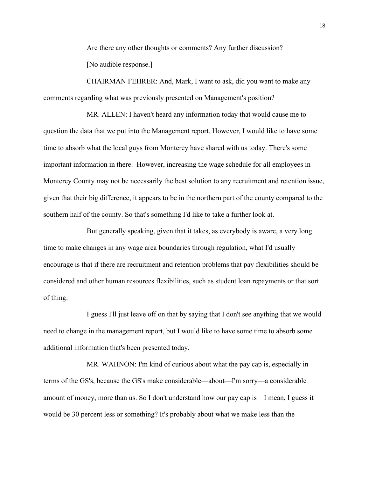Are there any other thoughts or comments? Any further discussion? [No audible response.]

CHAIRMAN FEHRER: And, Mark, I want to ask, did you want to make any comments regarding what was previously presented on Management's position?

MR. ALLEN: I haven't heard any information today that would cause me to question the data that we put into the Management report. However, I would like to have some time to absorb what the local guys from Monterey have shared with us today. There's some important information in there. However, increasing the wage schedule for all employees in Monterey County may not be necessarily the best solution to any recruitment and retention issue, given that their big difference, it appears to be in the northern part of the county compared to the southern half of the county. So that's something I'd like to take a further look at.

But generally speaking, given that it takes, as everybody is aware, a very long time to make changes in any wage area boundaries through regulation, what I'd usually encourage is that if there are recruitment and retention problems that pay flexibilities should be considered and other human resources flexibilities, such as student loan repayments or that sort of thing.

I guess I'll just leave off on that by saying that I don't see anything that we would need to change in the management report, but I would like to have some time to absorb some additional information that's been presented today.

MR. WAHNON: I'm kind of curious about what the pay cap is, especially in terms of the GS's, because the GS's make considerable—about—I'm sorry—a considerable amount of money, more than us. So I don't understand how our pay cap is—I mean, I guess it would be 30 percent less or something? It's probably about what we make less than the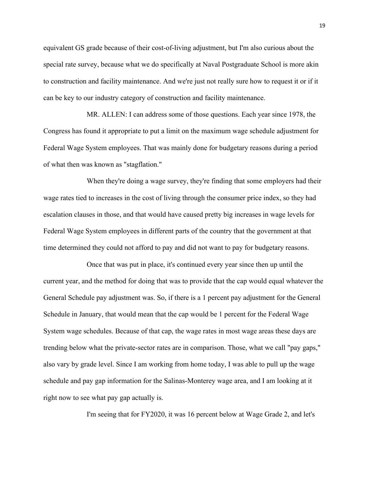equivalent GS grade because of their cost-of-living adjustment, but I'm also curious about the special rate survey, because what we do specifically at Naval Postgraduate School is more akin to construction and facility maintenance. And we're just not really sure how to request it or if it can be key to our industry category of construction and facility maintenance.

MR. ALLEN: I can address some of those questions. Each year since 1978, the Congress has found it appropriate to put a limit on the maximum wage schedule adjustment for Federal Wage System employees. That was mainly done for budgetary reasons during a period of what then was known as "stagflation."

When they're doing a wage survey, they're finding that some employers had their wage rates tied to increases in the cost of living through the consumer price index, so they had escalation clauses in those, and that would have caused pretty big increases in wage levels for Federal Wage System employees in different parts of the country that the government at that time determined they could not afford to pay and did not want to pay for budgetary reasons.

Once that was put in place, it's continued every year since then up until the current year, and the method for doing that was to provide that the cap would equal whatever the General Schedule pay adjustment was. So, if there is a 1 percent pay adjustment for the General Schedule in January, that would mean that the cap would be 1 percent for the Federal Wage System wage schedules. Because of that cap, the wage rates in most wage areas these days are trending below what the private-sector rates are in comparison. Those, what we call "pay gaps," also vary by grade level. Since I am working from home today, I was able to pull up the wage schedule and pay gap information for the Salinas-Monterey wage area, and I am looking at it right now to see what pay gap actually is.

I'm seeing that for FY2020, it was 16 percent below at Wage Grade 2, and let's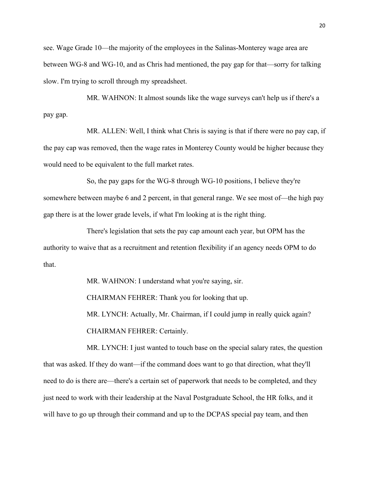see. Wage Grade 10—the majority of the employees in the Salinas-Monterey wage area are between WG-8 and WG-10, and as Chris had mentioned, the pay gap for that—sorry for talking slow. I'm trying to scroll through my spreadsheet.

MR. WAHNON: It almost sounds like the wage surveys can't help us if there's a pay gap.

MR. ALLEN: Well, I think what Chris is saying is that if there were no pay cap, if the pay cap was removed, then the wage rates in Monterey County would be higher because they would need to be equivalent to the full market rates.

So, the pay gaps for the WG-8 through WG-10 positions, I believe they're somewhere between maybe 6 and 2 percent, in that general range. We see most of—the high pay gap there is at the lower grade levels, if what I'm looking at is the right thing.

There's legislation that sets the pay cap amount each year, but OPM has the authority to waive that as a recruitment and retention flexibility if an agency needs OPM to do that.

> MR. WAHNON: I understand what you're saying, sir. CHAIRMAN FEHRER: Thank you for looking that up. MR. LYNCH: Actually, Mr. Chairman, if I could jump in really quick again? CHAIRMAN FEHRER: Certainly.

MR. LYNCH: I just wanted to touch base on the special salary rates, the question that was asked. If they do want—if the command does want to go that direction, what they'll need to do is there are—there's a certain set of paperwork that needs to be completed, and they just need to work with their leadership at the Naval Postgraduate School, the HR folks, and it will have to go up through their command and up to the DCPAS special pay team, and then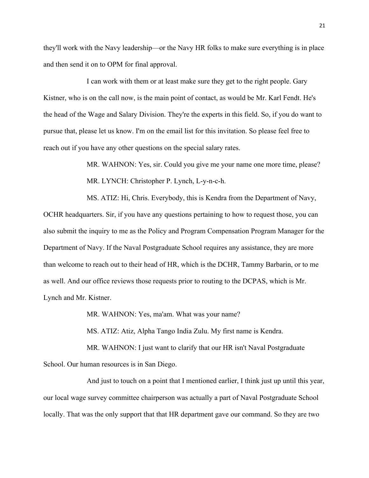they'll work with the Navy leadership—or the Navy HR folks to make sure everything is in place and then send it on to OPM for final approval.

I can work with them or at least make sure they get to the right people. Gary Kistner, who is on the call now, is the main point of contact, as would be Mr. Karl Fendt. He's the head of the Wage and Salary Division. They're the experts in this field. So, if you do want to pursue that, please let us know. I'm on the email list for this invitation. So please feel free to reach out if you have any other questions on the special salary rates.

> MR. WAHNON: Yes, sir. Could you give me your name one more time, please? MR. LYNCH: Christopher P. Lynch, L-y-n-c-h.

MS. ATIZ: Hi, Chris. Everybody, this is Kendra from the Department of Navy, OCHR headquarters. Sir, if you have any questions pertaining to how to request those, you can also submit the inquiry to me as the Policy and Program Compensation Program Manager for the Department of Navy. If the Naval Postgraduate School requires any assistance, they are more than welcome to reach out to their head of HR, which is the DCHR, Tammy Barbarin, or to me as well. And our office reviews those requests prior to routing to the DCPAS, which is Mr. Lynch and Mr. Kistner.

MR. WAHNON: Yes, ma'am. What was your name?

MS. ATIZ: Atiz, Alpha Tango India Zulu. My first name is Kendra.

MR. WAHNON: I just want to clarify that our HR isn't Naval Postgraduate School. Our human resources is in San Diego.

And just to touch on a point that I mentioned earlier, I think just up until this year, our local wage survey committee chairperson was actually a part of Naval Postgraduate School locally. That was the only support that that HR department gave our command. So they are two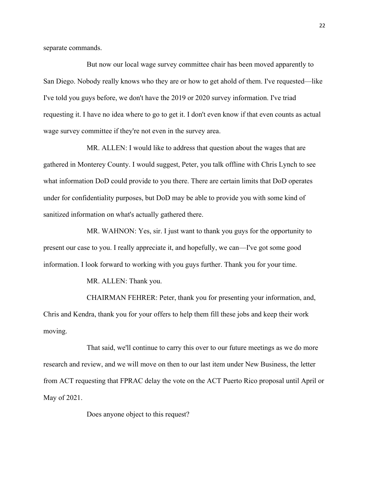separate commands.

But now our local wage survey committee chair has been moved apparently to San Diego. Nobody really knows who they are or how to get ahold of them. I've requested—like I've told you guys before, we don't have the 2019 or 2020 survey information. I've triad requesting it. I have no idea where to go to get it. I don't even know if that even counts as actual wage survey committee if they're not even in the survey area.

MR. ALLEN: I would like to address that question about the wages that are gathered in Monterey County. I would suggest, Peter, you talk offline with Chris Lynch to see what information DoD could provide to you there. There are certain limits that DoD operates under for confidentiality purposes, but DoD may be able to provide you with some kind of sanitized information on what's actually gathered there.

MR. WAHNON: Yes, sir. I just want to thank you guys for the opportunity to present our case to you. I really appreciate it, and hopefully, we can—I've got some good information. I look forward to working with you guys further. Thank you for your time.

MR. ALLEN: Thank you.

CHAIRMAN FEHRER: Peter, thank you for presenting your information, and, Chris and Kendra, thank you for your offers to help them fill these jobs and keep their work moving.

That said, we'll continue to carry this over to our future meetings as we do more research and review, and we will move on then to our last item under New Business, the letter from ACT requesting that FPRAC delay the vote on the ACT Puerto Rico proposal until April or May of 2021.

Does anyone object to this request?